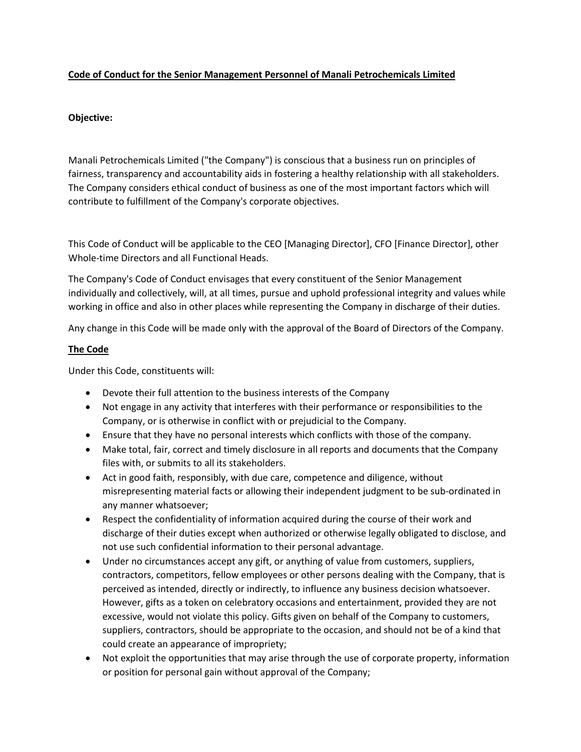## **Code of Conduct for the Senior Management Personnel of Manali Petrochemicals Limited**

## **Objective:**

Manali Petrochemicals Limited ("the Company") is conscious that a business run on principles of fairness, transparency and accountability aids in fostering a healthy relationship with all stakeholders. The Company considers ethical conduct of business as one of the most important factors which will contribute to fulfillment of the Company's corporate objectives.

This Code of Conduct will be applicable to the CEO [Managing Director], CFO [Finance Director], other Whole-time Directors and all Functional Heads.

The Company's Code of Conduct envisages that every constituent of the Senior Management individually and collectively, will, at all times, pursue and uphold professional integrity and values while working in office and also in other places while representing the Company in discharge of their duties.

Any change in this Code will be made only with the approval of the Board of Directors of the Company.

## **The Code**

Under this Code, constituents will:

- Devote their full attention to the business interests of the Company
- Not engage in any activity that interferes with their performance or responsibilities to the Company, or is otherwise in conflict with or prejudicial to the Company.
- Ensure that they have no personal interests which conflicts with those of the company.
- Make total, fair, correct and timely disclosure in all reports and documents that the Company files with, or submits to all its stakeholders.
- Act in good faith, responsibly, with due care, competence and diligence, without misrepresenting material facts or allowing their independent judgment to be sub-ordinated in any manner whatsoever;
- Respect the confidentiality of information acquired during the course of their work and discharge of their duties except when authorized or otherwise legally obligated to disclose, and not use such confidential information to their personal advantage.
- Under no circumstances accept any gift, or anything of value from customers, suppliers, contractors, competitors, fellow employees or other persons dealing with the Company, that is perceived as intended, directly or indirectly, to influence any business decision whatsoever. However, gifts as a token on celebratory occasions and entertainment, provided they are not excessive, would not violate this policy. Gifts given on behalf of the Company to customers, suppliers, contractors, should be appropriate to the occasion, and should not be of a kind that could create an appearance of impropriety;
- Not exploit the opportunities that may arise through the use of corporate property, information or position for personal gain without approval of the Company;